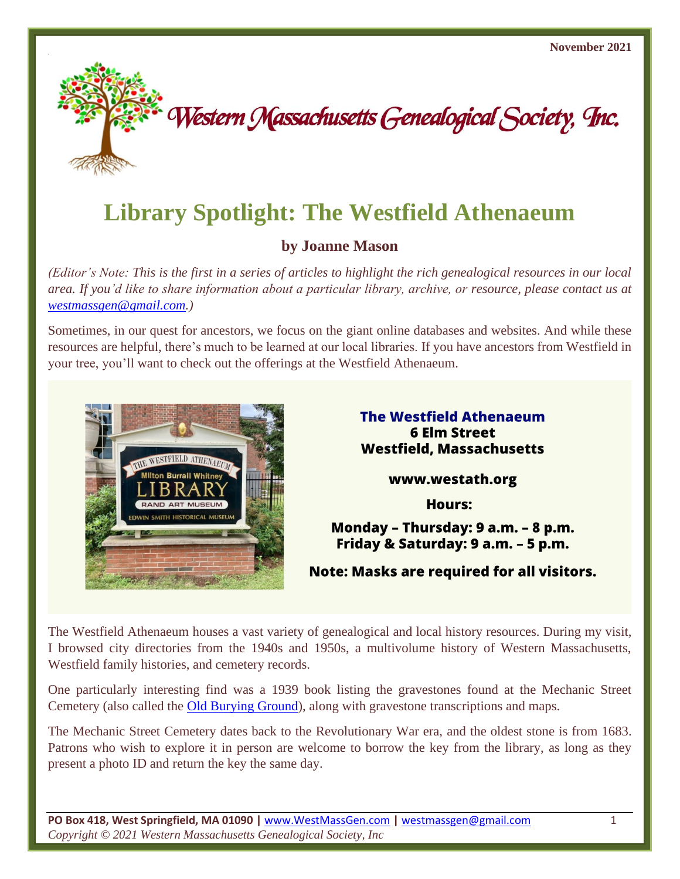

# **Library Spotlight: The Westfield Athenaeum**

# **by Joanne Mason**

*(Editor's Note: This is the first in a series of articles to highlight the rich genealogical resources in our local area. If you'd like to share information about a particular library, archive, or resource, please contact us at [westmassgen@gmail.com.](https://d.docs.live.net/58f71210f62e5c70/WMGS/newsletter/westmassgen@gmail.com))*

Sometimes, in our quest for ancestors, we focus on the giant online databases and websites. And while these resources are helpful, there's much to be learned at our local libraries. If you have ancestors from Westfield in your tree, you'll want to check out the offerings at the Westfield Athenaeum.



**The Westfield Athenaeum 6 Elm Street Westfield, Massachusetts** 

www.westath.org

**Hours:** 

# Monday - Thursday: 9 a.m. - 8 p.m. Friday & Saturday: 9 a.m. - 5 p.m.

**Note: Masks are required for all visitors.** 

The Westfield Athenaeum houses a vast variety of genealogical and local history resources. During my visit, I browsed city directories from the 1940s and 1950s, a multivolume history of Western Massachusetts, Westfield family histories, and cemetery records.

One particularly interesting find was a 1939 book listing the gravestones found at the Mechanic Street Cemetery (also called the **Old Burying Ground**), along with gravestone transcriptions and maps.

The Mechanic Street Cemetery dates back to the Revolutionary War era, and the oldest stone is from 1683. Patrons who wish to explore it in person are welcome to borrow the key from the library, as long as they present a photo ID and return the key the same day.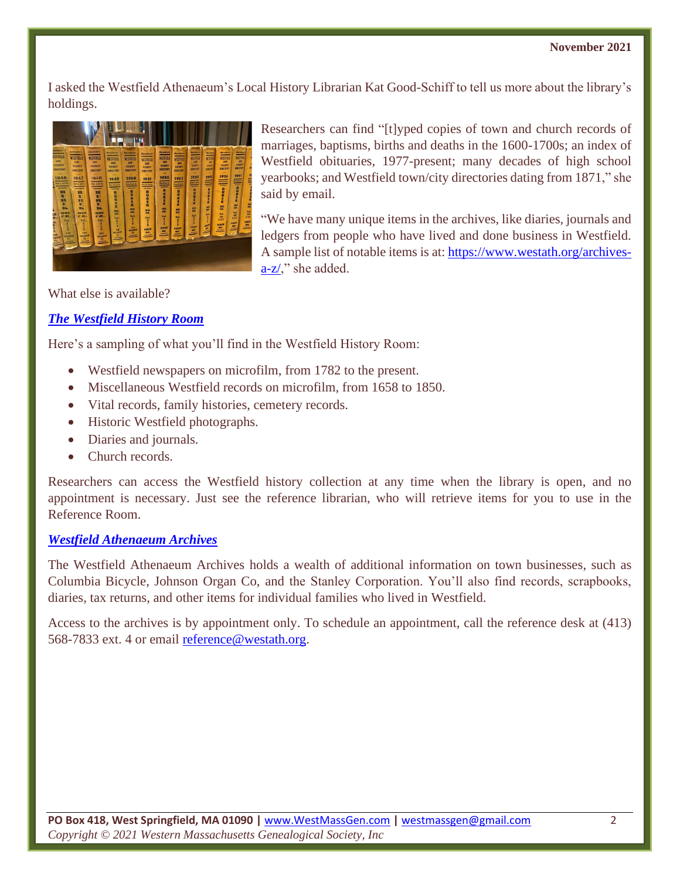#### **November 2021**

I asked the Westfield Athenaeum's Local History Librarian Kat Good-Schiff to tell us more about the library's holdings.



Researchers can find "[t]yped copies of town and church records of marriages, baptisms, births and deaths in the 1600-1700s; an index of Westfield obituaries, 1977-present; many decades of high school yearbooks; and Westfield town/city directories dating from 1871," she said by email.

"We have many unique items in the archives, like diaries, journals and ledgers from people who have lived and done business in Westfield. A sample list of notable items is at[: https://www.westath.org/archives](https://www.westath.org/archives-a-z/) $a-z/$ ," she added.

What else is available?

## *[The Westfield History Room](https://www.westath.org/local-history/)*

Here's a sampling of what you'll find in the Westfield History Room:

- Westfield newspapers on microfilm, from 1782 to the present.
- Miscellaneous Westfield records on microfilm, from 1658 to 1850.
- Vital records, family histories, cemetery records.
- Historic Westfield photographs.
- Diaries and journals.
- Church records.

Researchers can access the Westfield history collection at any time when the library is open, and no appointment is necessary. Just see the reference librarian, who will retrieve items for you to use in the Reference Room.

#### *[Westfield Athenaeum Archives](https://www.westath.org/archives-a-z/)*

The Westfield Athenaeum Archives holds a wealth of additional information on town businesses, such as Columbia Bicycle, Johnson Organ Co, and the Stanley Corporation. You'll also find records, scrapbooks, diaries, tax returns, and other items for individual families who lived in Westfield.

Access to the archives is by appointment only. To schedule an appointment, call the reference desk at (413) 568-7833 ext. 4 or email [reference@westath.org.](mailto:reference@westath.org)